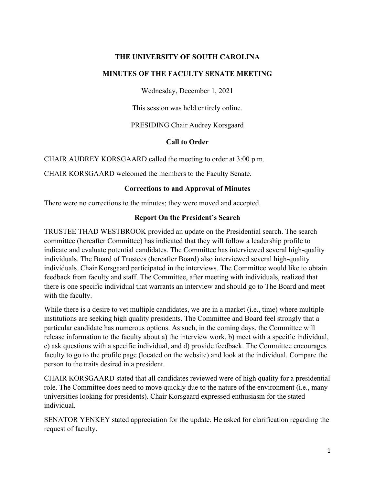### **THE UNIVERSITY OF SOUTH CAROLINA**

#### **MINUTES OF THE FACULTY SENATE MEETING**

Wednesday, December 1, 2021

This session was held entirely online.

PRESIDING Chair Audrey Korsgaard

### **Call to Order**

CHAIR AUDREY KORSGAARD called the meeting to order at 3:00 p.m.

CHAIR KORSGAARD welcomed the members to the Faculty Senate.

### **Corrections to and Approval of Minutes**

There were no corrections to the minutes; they were moved and accepted.

### **Report On the President's Search**

TRUSTEE THAD WESTBROOK provided an update on the Presidential search. The search committee (hereafter Committee) has indicated that they will follow a leadership profile to indicate and evaluate potential candidates. The Committee has interviewed several high-quality individuals. The Board of Trustees (hereafter Board) also interviewed several high-quality individuals. Chair Korsgaard participated in the interviews. The Committee would like to obtain feedback from faculty and staff. The Committee, after meeting with individuals, realized that there is one specific individual that warrants an interview and should go to The Board and meet with the faculty.

While there is a desire to vet multiple candidates, we are in a market (i.e., time) where multiple institutions are seeking high quality presidents. The Committee and Board feel strongly that a particular candidate has numerous options. As such, in the coming days, the Committee will release information to the faculty about a) the interview work, b) meet with a specific individual, c) ask questions with a specific individual, and d) provide feedback. The Committee encourages faculty to go to the profile page (located on the website) and look at the individual. Compare the person to the traits desired in a president.

CHAIR KORSGAARD stated that all candidates reviewed were of high quality for a presidential role. The Committee does need to move quickly due to the nature of the environment (i.e., many universities looking for presidents). Chair Korsgaard expressed enthusiasm for the stated individual.

SENATOR YENKEY stated appreciation for the update. He asked for clarification regarding the request of faculty.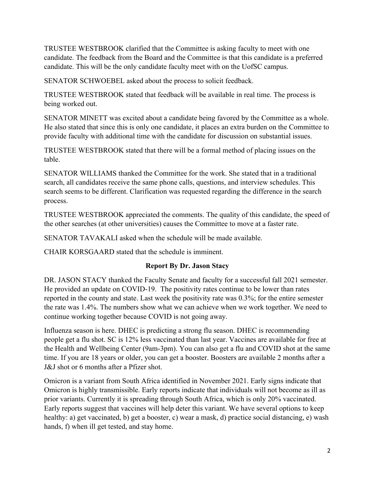TRUSTEE WESTBROOK clarified that the Committee is asking faculty to meet with one candidate. The feedback from the Board and the Committee is that this candidate is a preferred candidate. This will be the only candidate faculty meet with on the UofSC campus.

SENATOR SCHWOEBEL asked about the process to solicit feedback.

TRUSTEE WESTBROOK stated that feedback will be available in real time. The process is being worked out.

SENATOR MINETT was excited about a candidate being favored by the Committee as a whole. He also stated that since this is only one candidate, it places an extra burden on the Committee to provide faculty with additional time with the candidate for discussion on substantial issues.

TRUSTEE WESTBROOK stated that there will be a formal method of placing issues on the table.

SENATOR WILLIAMS thanked the Committee for the work. She stated that in a traditional search, all candidates receive the same phone calls, questions, and interview schedules. This search seems to be different. Clarification was requested regarding the difference in the search process.

TRUSTEE WESTBROOK appreciated the comments. The quality of this candidate, the speed of the other searches (at other universities) causes the Committee to move at a faster rate.

SENATOR TAVAKALI asked when the schedule will be made available.

CHAIR KORSGAARD stated that the schedule is imminent.

# **Report By Dr. Jason Stacy**

DR. JASON STACY thanked the Faculty Senate and faculty for a successful fall 2021 semester. He provided an update on COVID-19. The positivity rates continue to be lower than rates reported in the county and state. Last week the positivity rate was 0.3%; for the entire semester the rate was 1.4%. The numbers show what we can achieve when we work together. We need to continue working together because COVID is not going away.

Influenza season is here. DHEC is predicting a strong flu season. DHEC is recommending people get a flu shot. SC is 12% less vaccinated than last year. Vaccines are available for free at the Health and Wellbeing Center (9am-3pm). You can also get a flu and COVID shot at the same time. If you are 18 years or older, you can get a booster. Boosters are available 2 months after a J&J shot or 6 months after a Pfizer shot.

Omicron is a variant from South Africa identified in November 2021. Early signs indicate that Omicron is highly transmissible. Early reports indicate that individuals will not become as ill as prior variants. Currently it is spreading through South Africa, which is only 20% vaccinated. Early reports suggest that vaccines will help deter this variant. We have several options to keep healthy: a) get vaccinated, b) get a booster, c) wear a mask, d) practice social distancing, e) wash hands, f) when ill get tested, and stay home.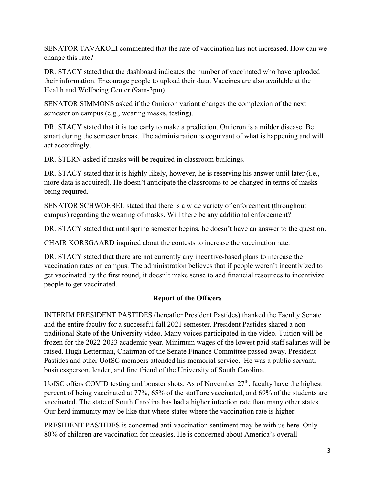SENATOR TAVAKOLI commented that the rate of vaccination has not increased. How can we change this rate?

DR. STACY stated that the dashboard indicates the number of vaccinated who have uploaded their information. Encourage people to upload their data. Vaccines are also available at the Health and Wellbeing Center (9am-3pm).

SENATOR SIMMONS asked if the Omicron variant changes the complexion of the next semester on campus (e.g., wearing masks, testing).

DR. STACY stated that it is too early to make a prediction. Omicron is a milder disease. Be smart during the semester break. The administration is cognizant of what is happening and will act accordingly.

DR. STERN asked if masks will be required in classroom buildings.

DR. STACY stated that it is highly likely, however, he is reserving his answer until later (i.e., more data is acquired). He doesn't anticipate the classrooms to be changed in terms of masks being required.

SENATOR SCHWOEBEL stated that there is a wide variety of enforcement (throughout campus) regarding the wearing of masks. Will there be any additional enforcement?

DR. STACY stated that until spring semester begins, he doesn't have an answer to the question.

CHAIR KORSGAARD inquired about the contests to increase the vaccination rate.

DR. STACY stated that there are not currently any incentive-based plans to increase the vaccination rates on campus. The administration believes that if people weren't incentivized to get vaccinated by the first round, it doesn't make sense to add financial resources to incentivize people to get vaccinated.

# **Report of the Officers**

INTERIM PRESIDENT PASTIDES (hereafter President Pastides) thanked the Faculty Senate and the entire faculty for a successful fall 2021 semester. President Pastides shared a nontraditional State of the University video. Many voices participated in the video. Tuition will be frozen for the 2022-2023 academic year. Minimum wages of the lowest paid staff salaries will be raised. Hugh Letterman, Chairman of the Senate Finance Committee passed away. President Pastides and other UofSC members attended his memorial service. He was a public servant, businessperson, leader, and fine friend of the University of South Carolina.

UofSC offers COVID testing and booster shots. As of November  $27<sup>th</sup>$ , faculty have the highest percent of being vaccinated at 77%, 65% of the staff are vaccinated, and 69% of the students are vaccinated. The state of South Carolina has had a higher infection rate than many other states. Our herd immunity may be like that where states where the vaccination rate is higher.

PRESIDENT PASTIDES is concerned anti-vaccination sentiment may be with us here. Only 80% of children are vaccination for measles. He is concerned about America's overall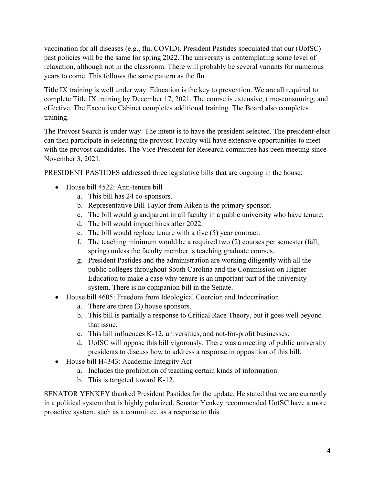vaccination for all diseases (e.g., flu, COVID). President Pastides speculated that our (UofSC) past policies will be the same for spring 2022. The university is contemplating some level of relaxation, although not in the classroom. There will probably be several variants for numerous years to come. This follows the same pattern as the flu.

Title IX training is well under way. Education is the key to prevention. We are all required to complete Title IX training by December 17, 2021. The course is extensive, time-consuming, and effective. The Executive Cabinet completes additional training. The Board also completes training.

The Provost Search is under way. The intent is to have the president selected. The president-elect can then participate in selecting the provost. Faculty will have extensive opportunities to meet with the provost candidates. The Vice President for Research committee has been meeting since November 3, 2021.

PRESIDENT PASTIDES addressed three legislative bills that are ongoing in the house:

- House bill 4522: Anti-tenure bill
	- a. This bill has 24 co-sponsors.
	- b. Representative Bill Taylor from Aiken is the primary sponsor.
	- c. The bill would grandparent in all faculty in a public university who have tenure.
	- d. The bill would impact hires after 2022.
	- e. The bill would replace tenure with a five (5) year contract.
	- f. The teaching minimum would be a required two (2) courses per semester (fall, spring) unless the faculty member is teaching graduate courses.
	- g. President Pastides and the administration are working diligently with all the public colleges throughout South Carolina and the Commission on Higher Education to make a case why tenure is an important part of the university system. There is no companion bill in the Senate.
- House bill 4605: Freedom from Ideological Coercion and Indoctrination
	- a. There are three (3) house sponsors.
	- b. This bill is partially a response to Critical Race Theory, but it goes well beyond that issue.
	- c. This bill influences K-12, universities, and not-for-profit businesses.
	- d. UofSC will oppose this bill vigorously. There was a meeting of public university presidents to discuss how to address a response in opposition of this bill.
- House bill H4343: Academic Integrity Act
	- a. Includes the prohibition of teaching certain kinds of information.
	- b. This is targeted toward K-12.

SENATOR YENKEY thanked President Pastides for the update. He stated that we are currently in a political system that is highly polarized. Senator Yenkey recommended UofSC have a more proactive system, such as a committee, as a response to this.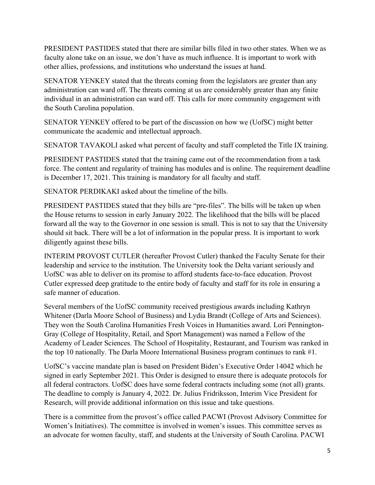PRESIDENT PASTIDES stated that there are similar bills filed in two other states. When we as faculty alone take on an issue, we don't have as much influence. It is important to work with other allies, professions, and institutions who understand the issues at hand.

SENATOR YENKEY stated that the threats coming from the legislators are greater than any administration can ward off. The threats coming at us are considerably greater than any finite individual in an administration can ward off. This calls for more community engagement with the South Carolina population.

SENATOR YENKEY offered to be part of the discussion on how we (UofSC) might better communicate the academic and intellectual approach.

SENATOR TAVAKOLI asked what percent of faculty and staff completed the Title IX training.

PRESIDENT PASTIDES stated that the training came out of the recommendation from a task force. The content and regularity of training has modules and is online. The requirement deadline is December 17, 2021. This training is mandatory for all faculty and staff.

SENATOR PERDIKAKI asked about the timeline of the bills.

PRESIDENT PASTIDES stated that they bills are "pre-files". The bills will be taken up when the House returns to session in early January 2022. The likelihood that the bills will be placed forward all the way to the Governor in one session is small. This is not to say that the University should sit back. There will be a lot of information in the popular press. It is important to work diligently against these bills.

INTERIM PROVOST CUTLER (hereafter Provost Cutler) thanked the Faculty Senate for their leadership and service to the institution. The University took the Delta variant seriously and UofSC was able to deliver on its promise to afford students face-to-face education. Provost Cutler expressed deep gratitude to the entire body of faculty and staff for its role in ensuring a safe manner of education.

Several members of the UofSC community received prestigious awards including Kathryn Whitener (Darla Moore School of Business) and Lydia Brandt (College of Arts and Sciences). They won the South Carolina Humanities Fresh Voices in Humanities award. Lori Pennington-Gray (College of Hospitality, Retail, and Sport Management) was named a Fellow of the Academy of Leader Sciences. The School of Hospitality, Restaurant, and Tourism was ranked in the top 10 nationally. The Darla Moore International Business program continues to rank #1.

UofSC's vaccine mandate plan is based on President Biden's Executive Order 14042 which he signed in early September 2021. This Order is designed to ensure there is adequate protocols for all federal contractors. UofSC does have some federal contracts including some (not all) grants. The deadline to comply is January 4, 2022. Dr. Julius Fridriksson, Interim Vice President for Research, will provide additional information on this issue and take questions.

There is a committee from the provost's office called PACWI (Provost Advisory Committee for Women's Initiatives). The committee is involved in women's issues. This committee serves as an advocate for women faculty, staff, and students at the University of South Carolina. PACWI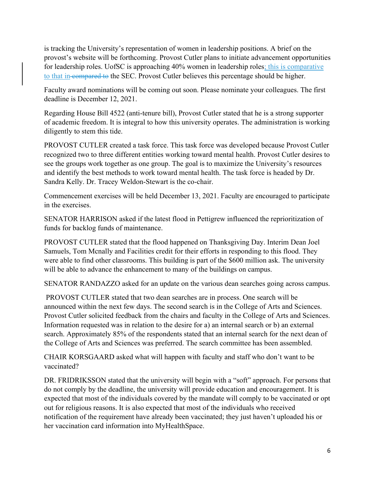is tracking the University's representation of women in leadership positions. A brief on the provost's website will be forthcoming. Provost Cutler plans to initiate advancement opportunities for leadership roles. UofSC is approaching 40% women in leadership roles; this is comparative to that in-compared to the SEC. Provost Cutler believes this percentage should be higher.

Faculty award nominations will be coming out soon. Please nominate your colleagues. The first deadline is December 12, 2021.

Regarding House Bill 4522 (anti-tenure bill), Provost Cutler stated that he is a strong supporter of academic freedom. It is integral to how this university operates. The administration is working diligently to stem this tide.

PROVOST CUTLER created a task force. This task force was developed because Provost Cutler recognized two to three different entities working toward mental health. Provost Cutler desires to see the groups work together as one group. The goal is to maximize the University's resources and identify the best methods to work toward mental health. The task force is headed by Dr. Sandra Kelly. Dr. Tracey Weldon-Stewart is the co-chair.

Commencement exercises will be held December 13, 2021. Faculty are encouraged to participate in the exercises.

SENATOR HARRISON asked if the latest flood in Pettigrew influenced the reprioritization of funds for backlog funds of maintenance.

PROVOST CUTLER stated that the flood happened on Thanksgiving Day. Interim Dean Joel Samuels, Tom Mcnally and Facilities credit for their efforts in responding to this flood. They were able to find other classrooms. This building is part of the \$600 million ask. The university will be able to advance the enhancement to many of the buildings on campus.

SENATOR RANDAZZO asked for an update on the various dean searches going across campus.

 PROVOST CUTLER stated that two dean searches are in process. One search will be announced within the next few days. The second search is in the College of Arts and Sciences. Provost Cutler solicited feedback from the chairs and faculty in the College of Arts and Sciences. Information requested was in relation to the desire for a) an internal search or b) an external search. Approximately 85% of the respondents stated that an internal search for the next dean of the College of Arts and Sciences was preferred. The search committee has been assembled.

CHAIR KORSGAARD asked what will happen with faculty and staff who don't want to be vaccinated?

DR. FRIDRIKSSON stated that the university will begin with a "soft" approach. For persons that do not comply by the deadline, the university will provide education and encouragement. It is expected that most of the individuals covered by the mandate will comply to be vaccinated or opt out for religious reasons. It is also expected that most of the individuals who received notification of the requirement have already been vaccinated; they just haven't uploaded his or her vaccination card information into MyHealthSpace.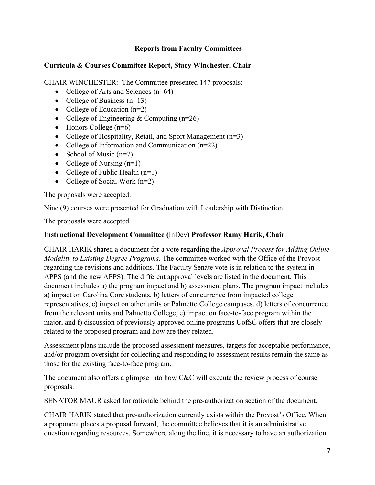# **Reports from Faculty Committees**

## **Curricula & Courses Committee Report, Stacy Winchester, Chair**

CHAIR WINCHESTER: The Committee presented 147 proposals:

- College of Arts and Sciences  $(n=64)$
- College of Business  $(n=13)$
- College of Education  $(n=2)$
- College of Engineering & Computing  $(n=26)$
- $\bullet$  Honors College (n=6)
- College of Hospitality, Retail, and Sport Management (n=3)
- College of Information and Communication (n=22)
- School of Music  $(n=7)$
- College of Nursing  $(n=1)$
- College of Public Health  $(n=1)$
- College of Social Work  $(n=2)$

The proposals were accepted.

Nine (9) courses were presented for Graduation with Leadership with Distinction.

The proposals were accepted.

# **Instructional Development Committee (**InDev**) Professor Ramy Harik, Chair**

CHAIR HARIK shared a document for a vote regarding the *Approval Process for Adding Online Modality to Existing Degree Programs.* The committee worked with the Office of the Provost regarding the revisions and additions. The Faculty Senate vote is in relation to the system in APPS (and the new APPS). The different approval levels are listed in the document. This document includes a) the program impact and b) assessment plans. The program impact includes a) impact on Carolina Core students, b) letters of concurrence from impacted college representatives, c) impact on other units or Palmetto College campuses, d) letters of concurrence from the relevant units and Palmetto College, e) impact on face-to-face program within the major, and f) discussion of previously approved online programs UofSC offers that are closely related to the proposed program and how are they related.

Assessment plans include the proposed assessment measures, targets for acceptable performance, and/or program oversight for collecting and responding to assessment results remain the same as those for the existing face-to-face program.

The document also offers a glimpse into how C&C will execute the review process of course proposals.

SENATOR MAUR asked for rationale behind the pre-authorization section of the document.

CHAIR HARIK stated that pre-authorization currently exists within the Provost's Office. When a proponent places a proposal forward, the committee believes that it is an administrative question regarding resources. Somewhere along the line, it is necessary to have an authorization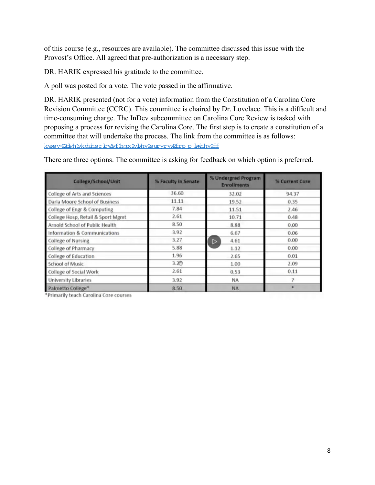of this course (e.g., resources are available). The committee discussed this issue with the Provost's Office. All agreed that pre-authorization is a necessary step.

DR. HARIK expressed his gratitude to the committee.

A poll was posted for a vote. The vote passed in the affirmative.

DR. HARIK presented (not for a vote) information from the Constitution of a Carolina Core Revision Committee (CCRC). This committee is chaired by Dr. Lovelace. This is a difficult and time-consuming charge. The InDev subcommittee on Carolina Core Review is tasked with proposing a process for revising the Carolina Core. The first step is to create a constitution of a committee that will undertake the process. The link from the committee is as follows: kwsv=20dyhttkduhsrbwttthqx2vlkhv2survrw2fropt.kwhhv2ff

There are three options. The committee is asking for feedback on which option is preferred.

| Callege/School/Unit               | % Faculty in Senate | % Undergrad Program<br><b>Enrollments</b> | % Current Core<br>94.37 |  |
|-----------------------------------|---------------------|-------------------------------------------|-------------------------|--|
| College of Arts and Sciences      | 36.60               | 32.02                                     |                         |  |
| Darla Moore School of Business    | 11.11               | 19.52                                     | 0.35                    |  |
| College of Engr & Computing       | 7.84                | 11.51                                     | 2.46                    |  |
| College Hosp, Retail & Sport Mgmt | 2.61                | 10.71                                     | 0.48                    |  |
| Arnold School of Public Health    | 8.50                | 8.88                                      | 0.00                    |  |
| Information & Communications      | 3.92                | 6.67                                      | 0.06                    |  |
| <b>College of Nursing</b>         | 3.27                | 4.61<br>$\triangleright$                  | 0.00                    |  |
| College of Pharmacy               | 5.88                | 1.12                                      | 0.00                    |  |
| College of Education              | 1.96                | 2.65                                      | 0.01                    |  |
| <b>School of Music</b>            | 3.20                | 1.00                                      | 2.09                    |  |
| <b>College of Social Work</b>     | 2.61                | 0.53                                      | 0.11                    |  |
| <b>University Libraries</b>       | 3.92                | <b>NA</b>                                 |                         |  |
| Palmetto College*                 | 8.50                | <b>NA</b>                                 |                         |  |

\*Primarily teach Carolina Core courses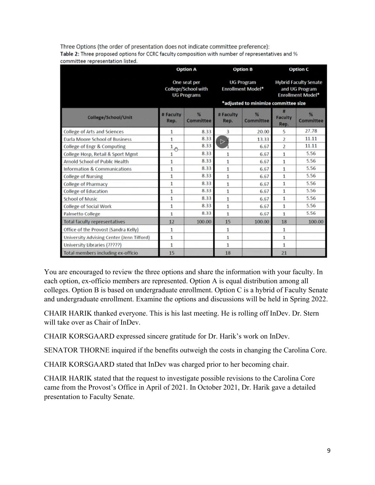Three Options (the order of presentation does not indicate committee preference): Table 2: Three proposed options for CCRC faculty composition with number of representatives and % committee representation listed.

|                                           | <b>Option A</b>                                                  |                | <b>Option B</b>   |                                                                                       | <b>Option C</b>        |                                                                            |  |
|-------------------------------------------|------------------------------------------------------------------|----------------|-------------------|---------------------------------------------------------------------------------------|------------------------|----------------------------------------------------------------------------|--|
|                                           | One seat per<br><b>College/School with</b><br><b>UG Programs</b> |                |                   | <b>UG Program</b><br><b>Enrollment Model*</b><br>*adjusted to minimize committee size |                        | <b>Hybrid Faculty Senate</b><br>and UG Program<br><b>Enrollment Model*</b> |  |
| College/School/Unit                       | # Faculty<br>Rep.                                                | %<br>Committee | # Faculty<br>Rep. | %<br>Committee                                                                        | <b>Faculty</b><br>Rep. | %<br>Committee                                                             |  |
| <b>College of Arts and Sciences</b>       | 1                                                                | 8.33           | 3                 | 20.00                                                                                 | 5                      | 27.78                                                                      |  |
| <b>Darla Moore School of Business</b>     | 1                                                                | 8.33           | $\triangleright$  | 13.33                                                                                 | $\overline{2}$         | 11.11                                                                      |  |
| College of Engr & Computing               | 1<br>έm,                                                         | 8.33           |                   | 6.67                                                                                  | $\overline{2}$         | 11.11                                                                      |  |
| College Hosp, Retail & Sport Mgmt         | $\mathbf{1}$                                                     | 8.33           | $\mathbf{1}$      | 6.67                                                                                  | $\mathbf{1}$           | 5.56                                                                       |  |
| Arnold School of Public Health            | 1                                                                | 8.33           | $\mathbf{1}$      | 6.67                                                                                  | $\mathbf{1}$           | 5.56                                                                       |  |
| Information & Communications              | $\overline{1}$                                                   | 8.33           | $\mathbf{1}$      | 6.67                                                                                  | $\mathbf{1}$           | 5.56                                                                       |  |
| <b>College of Nursing</b>                 | 1                                                                | 8.33           | $\mathbf{1}$      | 6.67                                                                                  | $\mathbf{1}$           | 5.56                                                                       |  |
| <b>College of Pharmacy</b>                | $\mathbf{1}$                                                     | 8.33           | $\mathbf{1}$      | 6.67                                                                                  | $\mathbf{1}$           | 5.56                                                                       |  |
| <b>College of Education</b>               | 1                                                                | 8.33           | $\mathbf{1}$      | 6.67                                                                                  | $\mathbf{1}$           | 5.56                                                                       |  |
| <b>School of Music</b>                    | $\mathbf{1}$                                                     | 8.33           | $\mathbf{1}$      | 6.67                                                                                  | $\mathbf{1}$           | 5.56                                                                       |  |
| <b>College of Social Work</b>             | $\mathbf{1}$                                                     | 8.33           | $\mathbf{1}$      | 6.67                                                                                  | $\mathbf{1}$           | 5.56                                                                       |  |
| Palmetto College                          | $\mathbf{1}$                                                     | 8.33           | $\mathbf{1}$      | 6.67                                                                                  | $\mathbf{1}$           | 5.56                                                                       |  |
| <b>Total faculty representatives</b>      | 12                                                               | 100.00         | 15                | 100.00                                                                                | 18                     | 100.00                                                                     |  |
| Office of the Provost (Sandra Kelly)      | 1                                                                |                | $\mathbf{1}$      |                                                                                       | $\mathbf{1}$           |                                                                            |  |
| University Advising Center (Jenn Tilford) | 1                                                                |                | $\mathbf{1}$      |                                                                                       | $\mathbf{1}$           |                                                                            |  |
| University Libraries (?????)              | 1                                                                |                | $\mathbf{1}$      |                                                                                       | $\mathbf{1}$           |                                                                            |  |
| Total members including ex-officio        | 15                                                               |                | 18                |                                                                                       | 21                     |                                                                            |  |

You are encouraged to review the three options and share the information with your faculty. In each option, ex-officio members are represented. Option A is equal distribution among all colleges. Option B is based on undergraduate enrollment. Option C is a hybrid of Faculty Senate and undergraduate enrollment. Examine the options and discussions will be held in Spring 2022.

CHAIR HARIK thanked everyone. This is his last meeting. He is rolling off InDev. Dr. Stern will take over as Chair of InDev.

CHAIR KORSGAARD expressed sincere gratitude for Dr. Harik's work on InDev.

SENATOR THORNE inquired if the benefits outweigh the costs in changing the Carolina Core.

CHAIR KORSGAARD stated that InDev was charged prior to her becoming chair.

CHAIR HARIK stated that the request to investigate possible revisions to the Carolina Core came from the Provost's Office in April of 2021. In October 2021, Dr. Harik gave a detailed presentation to Faculty Senate.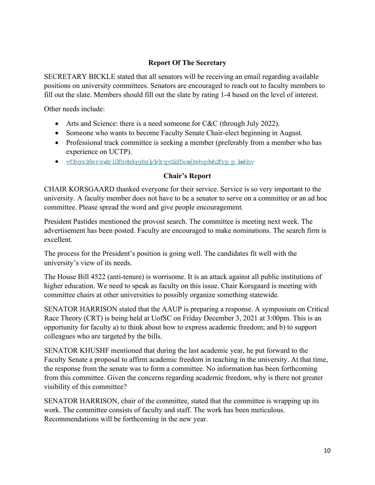# **Report Of The Secretary**

SECRETARY BICKLE stated that all senators will be receiving an email regarding available positions on university committees. Senators are encouraged to reach out to faculty members to fill out the slate. Members should fill out the slate by rating 1-4 based on the level of interest.

Other needs include:

- Arts and Science: there is a need someone for C&C (through July 2022).
- Someone who wants to become Faculty Senate Chair-elect beginning in August.
- Professional track committee is seeking a member (preferably from a member who has experience on UCTP).
- · <u>vflhqx2derxw2riilfhvbdqqbqlytylrqv2idfxovelbvhqdwh2frpp\_blwhhv</u>

## **Chair's Report**

CHAIR KORSGAARD thanked everyone for their service. Service is so very important to the university. A faculty member does not have to be a senator to serve on a committee or an ad hoc committee. Please spread the word and give people encouragement.

President Pastides mentioned the provost search. The committee is meeting next week. The advertisement has been posted. Faculty are encouraged to make nominations. The search firm is excellent.

The process for the President's position is going well. The candidates fit well with the university's view of its needs.

The House Bill 4522 (anti-tenure) is worrisome. It is an attack against all public institutions of higher education. We need to speak as faculty on this issue. Chair Korsgaard is meeting with committee chairs at other universities to possibly organize something statewide.

SENATOR HARRISON stated that the AAUP is preparing a response. A symposium on Critical Race Theory (CRT) is being held at UofSC on Friday December 3, 2021 at 3:00pm. This is an opportunity for faculty a) to think about how to express academic freedom; and b) to support colleagues who are targeted by the bills.

SENATOR KHUSHF mentioned that during the last academic year, he put forward to the Faculty Senate a proposal to affirm academic freedom in teaching in the university. At that time, the response from the senate was to form a committee. No information has been forthcoming from this committee. Given the concerns regarding academic freedom, why is there not greater visibility of this committee?

SENATOR HARRISON, chair of the committee, stated that the committee is wrapping up its work. The committee consists of faculty and staff. The work has been meticulous. Recommendations will be forthcoming in the new year.